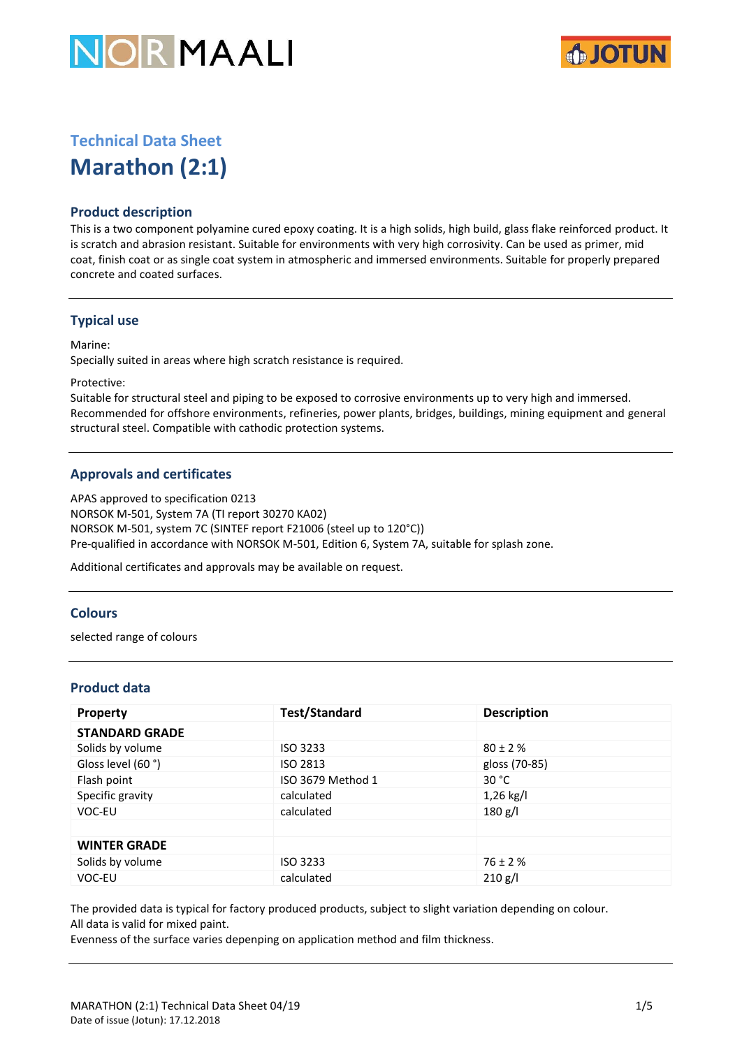



# **Technical Data Sheet**

**Marathon (2:1)**

# **Product description**

This is a two component polyamine cured epoxy coating. It is a high solids, high build, glass flake reinforced product. It is scratch and abrasion resistant. Suitable for environments with very high corrosivity. Can be used as primer, mid coat, finish coat or as single coat system in atmospheric and immersed environments. Suitable for properly prepared concrete and coated surfaces.

# **Typical use**

Marine:

Specially suited in areas where high scratch resistance is required.

Protective:

Suitable for structural steel and piping to be exposed to corrosive environments up to very high and immersed. Recommended for offshore environments, refineries, power plants, bridges, buildings, mining equipment and general structural steel. Compatible with cathodic protection systems.

# **Approvals and certificates**

APAS approved to specification 0213 NORSOK M-501, System 7A (TI report 30270 KA02) NORSOK M-501, system 7C (SINTEF report F21006 (steel up to 120°C)) Pre-qualified in accordance with NORSOK M-501, Edition 6, System 7A, suitable for splash zone.

Additional certificates and approvals may be available on request.

## **Colours**

selected range of colours

# **Product data**

| <b>Property</b>       | <b>Test/Standard</b> | <b>Description</b> |
|-----------------------|----------------------|--------------------|
| <b>STANDARD GRADE</b> |                      |                    |
| Solids by volume      | ISO 3233             | $80 \pm 2 \%$      |
| Gloss level (60 °)    | ISO 2813             | gloss (70-85)      |
| Flash point           | ISO 3679 Method 1    | 30 $^{\circ}$ C    |
| Specific gravity      | calculated           | $1,26$ kg/l        |
| VOC-EU                | calculated           | 180 g/l            |
|                       |                      |                    |
| <b>WINTER GRADE</b>   |                      |                    |
| Solids by volume      | <b>ISO 3233</b>      | $76 \pm 2 \%$      |
| VOC-EU                | calculated           | 210 g/l            |

The provided data is typical for factory produced products, subject to slight variation depending on colour. All data is valid for mixed paint.

Evenness of the surface varies depenping on application method and film thickness.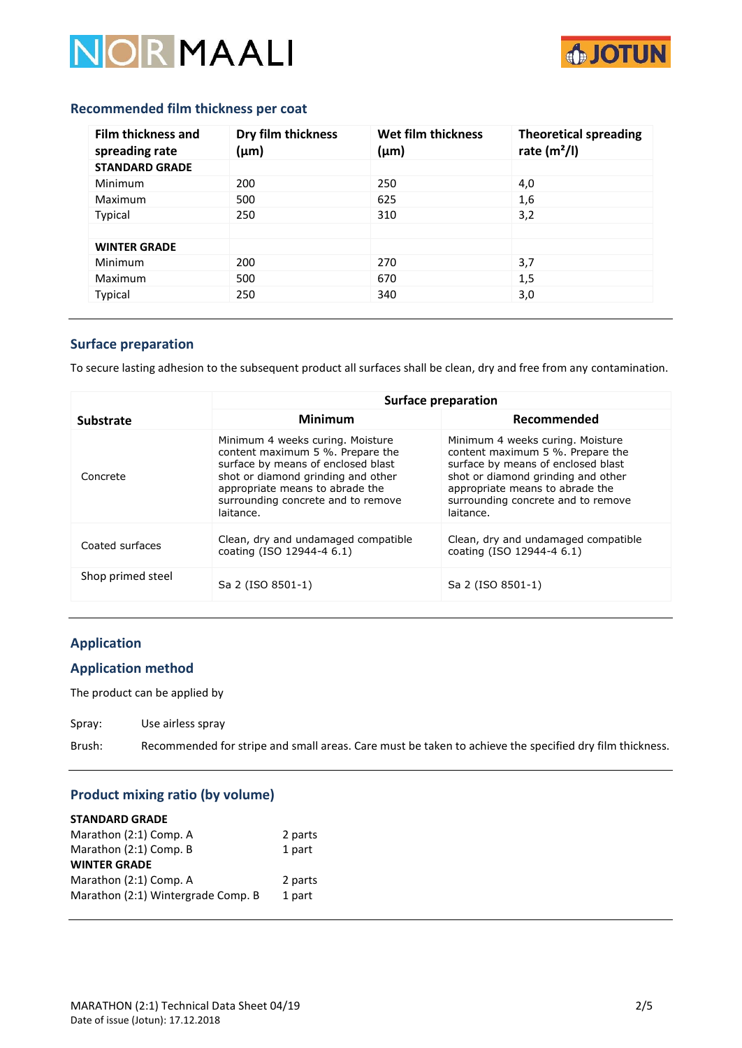



#### **Recommended film thickness per coat**

| <b>Film thickness and</b><br>spreading rate | Dry film thickness<br>$(\mu m)$ | Wet film thickness<br>(μm) | <b>Theoretical spreading</b><br>rate $(m2/I)$ |
|---------------------------------------------|---------------------------------|----------------------------|-----------------------------------------------|
| <b>STANDARD GRADE</b>                       |                                 |                            |                                               |
| Minimum                                     | 200                             | 250                        | 4,0                                           |
| Maximum                                     | 500                             | 625                        | 1,6                                           |
| Typical                                     | 250                             | 310                        | 3,2                                           |
|                                             |                                 |                            |                                               |
| <b>WINTER GRADE</b>                         |                                 |                            |                                               |
| Minimum                                     | 200                             | 270                        | 3,7                                           |
| Maximum                                     | 500                             | 670                        | 1,5                                           |
| Typical                                     | 250                             | 340                        | 3,0                                           |

# **Surface preparation**

To secure lasting adhesion to the subsequent product all surfaces shall be clean, dry and free from any contamination.

|                   | Surface preparation                                                                                                                                                                                                                    |                                                                                                                                                                                                                                        |  |
|-------------------|----------------------------------------------------------------------------------------------------------------------------------------------------------------------------------------------------------------------------------------|----------------------------------------------------------------------------------------------------------------------------------------------------------------------------------------------------------------------------------------|--|
| <b>Substrate</b>  | <b>Minimum</b>                                                                                                                                                                                                                         | Recommended                                                                                                                                                                                                                            |  |
| Concrete          | Minimum 4 weeks curing. Moisture<br>content maximum 5 %. Prepare the<br>surface by means of enclosed blast<br>shot or diamond grinding and other<br>appropriate means to abrade the<br>surrounding concrete and to remove<br>laitance. | Minimum 4 weeks curing. Moisture<br>content maximum 5 %. Prepare the<br>surface by means of enclosed blast<br>shot or diamond grinding and other<br>appropriate means to abrade the<br>surrounding concrete and to remove<br>laitance. |  |
| Coated surfaces   | Clean, dry and undamaged compatible<br>coating (ISO 12944-4 6.1)                                                                                                                                                                       | Clean, dry and undamaged compatible<br>coating (ISO 12944-4 6.1)                                                                                                                                                                       |  |
| Shop primed steel | Sa 2 (ISO 8501-1)                                                                                                                                                                                                                      | Sa 2 (ISO 8501-1)                                                                                                                                                                                                                      |  |

### **Application**

## **Application method**

The product can be applied by

Spray: Use airless spray

Brush: Recommended for stripe and small areas. Care must be taken to achieve the specified dry film thickness.

# **Product mixing ratio (by volume)**

| <b>STANDARD GRADE</b>              |         |
|------------------------------------|---------|
| Marathon (2:1) Comp. A             | 2 parts |
| Marathon (2:1) Comp. B             | 1 part  |
| <b>WINTER GRADE</b>                |         |
| Marathon (2:1) Comp. A             | 2 parts |
| Marathon (2:1) Wintergrade Comp. B | 1 part  |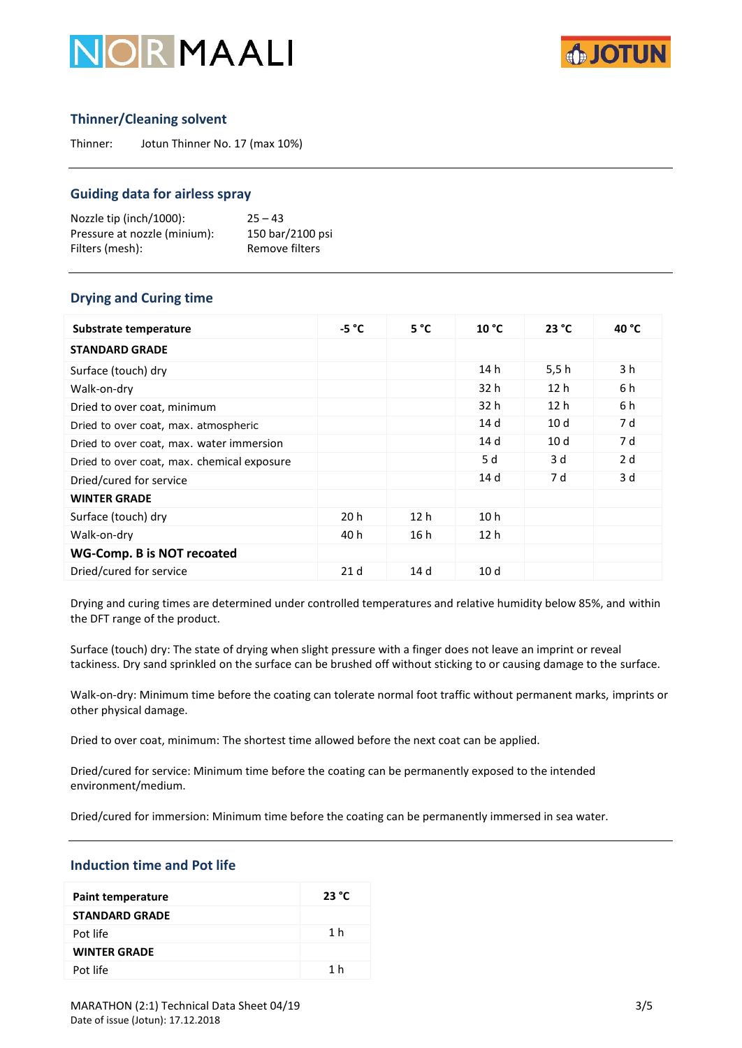



# **Thinner/Cleaning solvent**

Thinner: Jotun Thinner No. 17 (max 10%)

#### **Guiding data for airless spray**

Nozzle tip (inch/1000): 25 – 43 Pressure at nozzle (minium): 150 bar/2100 psi Filters (mesh): Remove filters

# **Drying and Curing time**

| Substrate temperature                      | $-5 °C$         | 5 °C            | 10 °C           | 23 °C           | 40 °C |
|--------------------------------------------|-----------------|-----------------|-----------------|-----------------|-------|
| <b>STANDARD GRADE</b>                      |                 |                 |                 |                 |       |
| Surface (touch) dry                        |                 |                 | 14 h            | 5.5h            | 3 h   |
| Walk-on-dry                                |                 |                 | 32 h            | 12 <sub>h</sub> | 6 h   |
| Dried to over coat, minimum                |                 |                 | 32 h            | 12 <sub>h</sub> | 6 h   |
| Dried to over coat, max. atmospheric       |                 |                 | 14d             | 10 <sub>d</sub> | 7 d   |
| Dried to over coat, max. water immersion   |                 |                 | 14 d            | 10 <sub>d</sub> | 7 d   |
| Dried to over coat, max. chemical exposure |                 |                 | 5 d             | 3d              | 2d    |
| Dried/cured for service                    |                 |                 | 14d             | 7 d             | 3 d   |
| <b>WINTER GRADE</b>                        |                 |                 |                 |                 |       |
| Surface (touch) dry                        | 20 h            | 12 <sub>h</sub> | 10 <sub>h</sub> |                 |       |
| Walk-on-dry                                | 40 h            | 16 h            | 12 <sub>h</sub> |                 |       |
| <b>WG-Comp. B is NOT recoated</b>          |                 |                 |                 |                 |       |
| Dried/cured for service                    | 21 <sub>d</sub> | 14 <sub>d</sub> | 10 <sub>d</sub> |                 |       |

Drying and curing times are determined under controlled temperatures and relative humidity below 85%, and within the DFT range of the product.

Surface (touch) dry: The state of drying when slight pressure with a finger does not leave an imprint or reveal tackiness. Dry sand sprinkled on the surface can be brushed off without sticking to or causing damage to the surface.

Walk-on-dry: Minimum time before the coating can tolerate normal foot traffic without permanent marks, imprints or other physical damage.

Dried to over coat, minimum: The shortest time allowed before the next coat can be applied.

Dried/cured for service: Minimum time before the coating can be permanently exposed to the intended environment/medium.

Dried/cured for immersion: Minimum time before the coating can be permanently immersed in sea water.

### **Induction time and Pot life**

| <b>Paint temperature</b> | 23 °C |
|--------------------------|-------|
| <b>STANDARD GRADE</b>    |       |
| Pot life                 | 1 h   |
| <b>WINTER GRADE</b>      |       |
| Pot life                 | 1 h   |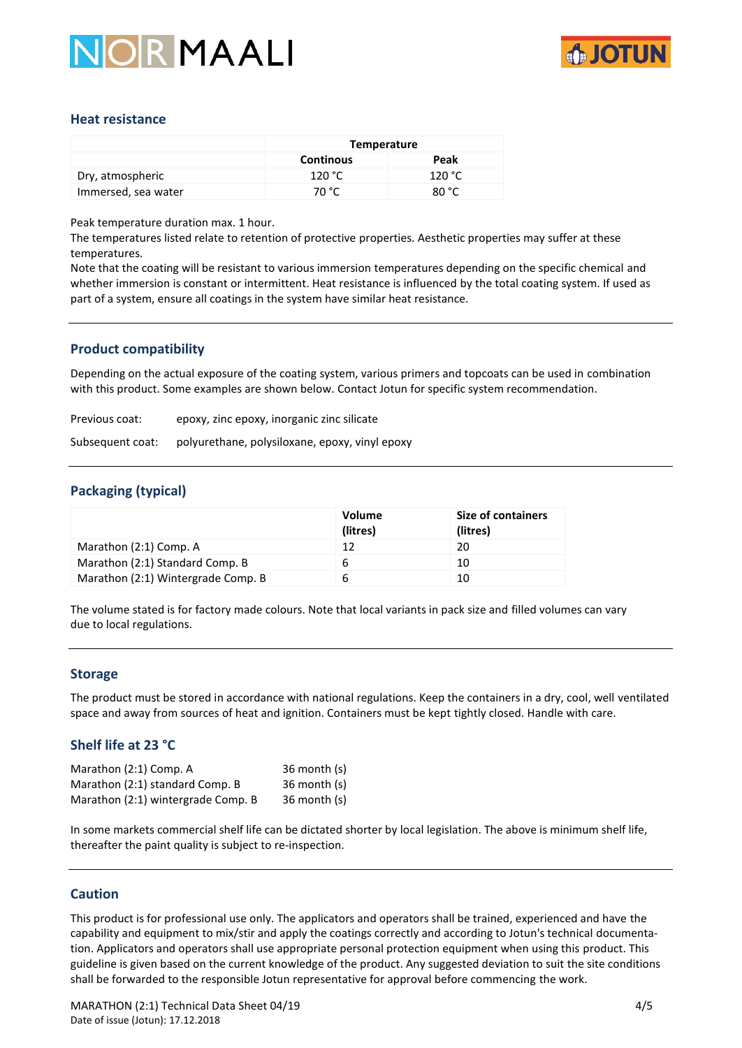



### **Heat resistance**

|                     | Temperature      |        |
|---------------------|------------------|--------|
|                     | <b>Continous</b> | Peak   |
| Dry, atmospheric    | 120 °C           | 120 °C |
| Immersed, sea water | 70 °C            | 80 °C  |

Peak temperature duration max. 1 hour.

The temperatures listed relate to retention of protective properties. Aesthetic properties may suffer at these temperatures.

Note that the coating will be resistant to various immersion temperatures depending on the specific chemical and whether immersion is constant or intermittent. Heat resistance is influenced by the total coating system. If used as part of a system, ensure all coatings in the system have similar heat resistance.

### **Product compatibility**

Depending on the actual exposure of the coating system, various primers and topcoats can be used in combination with this product. Some examples are shown below. Contact Jotun for specific system recommendation.

Previous coat: epoxy, zinc epoxy, inorganic zinc silicate

Subsequent coat: polyurethane, polysiloxane, epoxy, vinyl epoxy

#### **Packaging (typical)**

|                                    | Volume<br>(litres) | <b>Size of containers</b><br>(litres) |
|------------------------------------|--------------------|---------------------------------------|
| Marathon (2:1) Comp. A             | 12                 | 20                                    |
| Marathon (2:1) Standard Comp. B    | 6                  | 10                                    |
| Marathon (2:1) Wintergrade Comp. B | 6                  | 10                                    |

The volume stated is for factory made colours. Note that local variants in pack size and filled volumes can vary due to local regulations.

#### **Storage**

The product must be stored in accordance with national regulations. Keep the containers in a dry, cool, well ventilated space and away from sources of heat and ignition. Containers must be kept tightly closed. Handle with care.

# **Shelf life at 23 °C**

| Marathon (2:1) Comp. A             | $36$ month $(s)$ |
|------------------------------------|------------------|
| Marathon (2:1) standard Comp. B    | $36$ month $(s)$ |
| Marathon (2:1) wintergrade Comp. B | $36$ month $(s)$ |

In some markets commercial shelf life can be dictated shorter by local legislation. The above is minimum shelf life, thereafter the paint quality is subject to re-inspection.

#### **Caution**

This product is for professional use only. The applicators and operators shall be trained, experienced and have the capability and equipment to mix/stir and apply the coatings correctly and according to Jotun's technical documentation. Applicators and operators shall use appropriate personal protection equipment when using this product. This guideline is given based on the current knowledge of the product. Any suggested deviation to suit the site conditions shall be forwarded to the responsible Jotun representative for approval before commencing the work.